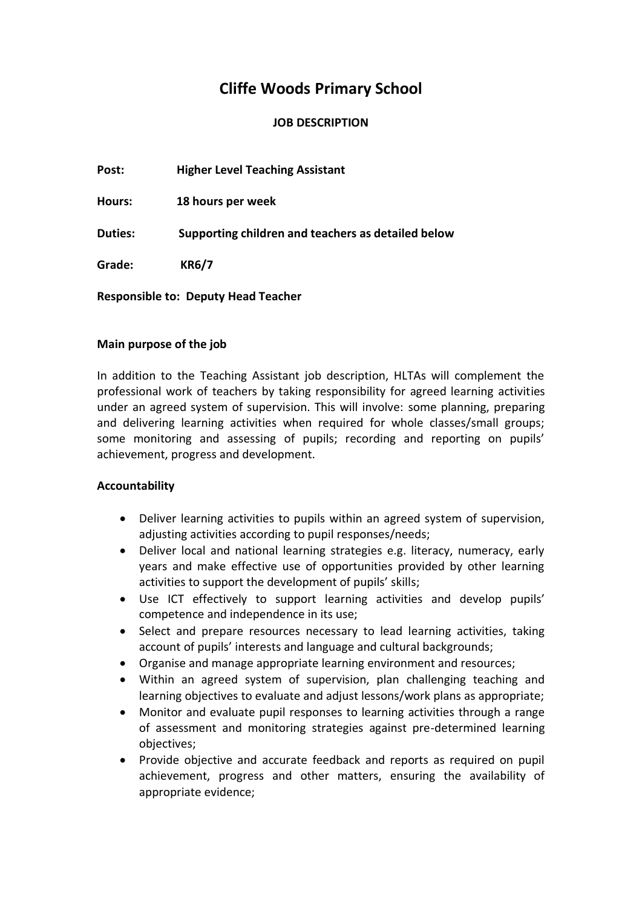# **Cliffe Woods Primary School**

## **JOB DESCRIPTION**

**Post: Higher Level Teaching Assistant**

**Hours: 18 hours per week**

**Duties: Supporting children and teachers as detailed below**

**Grade: KR6/7**

**Responsible to: Deputy Head Teacher**

### **Main purpose of the job**

In addition to the Teaching Assistant job description, HLTAs will complement the professional work of teachers by taking responsibility for agreed learning activities under an agreed system of supervision. This will involve: some planning, preparing and delivering learning activities when required for whole classes/small groups; some monitoring and assessing of pupils; recording and reporting on pupils' achievement, progress and development.

### **Accountability**

- Deliver learning activities to pupils within an agreed system of supervision, adjusting activities according to pupil responses/needs;
- Deliver local and national learning strategies e.g. literacy, numeracy, early years and make effective use of opportunities provided by other learning activities to support the development of pupils' skills;
- Use ICT effectively to support learning activities and develop pupils' competence and independence in its use;
- Select and prepare resources necessary to lead learning activities, taking account of pupils' interests and language and cultural backgrounds;
- Organise and manage appropriate learning environment and resources;
- Within an agreed system of supervision, plan challenging teaching and learning objectives to evaluate and adjust lessons/work plans as appropriate;
- Monitor and evaluate pupil responses to learning activities through a range of assessment and monitoring strategies against pre-determined learning objectives;
- Provide objective and accurate feedback and reports as required on pupil achievement, progress and other matters, ensuring the availability of appropriate evidence;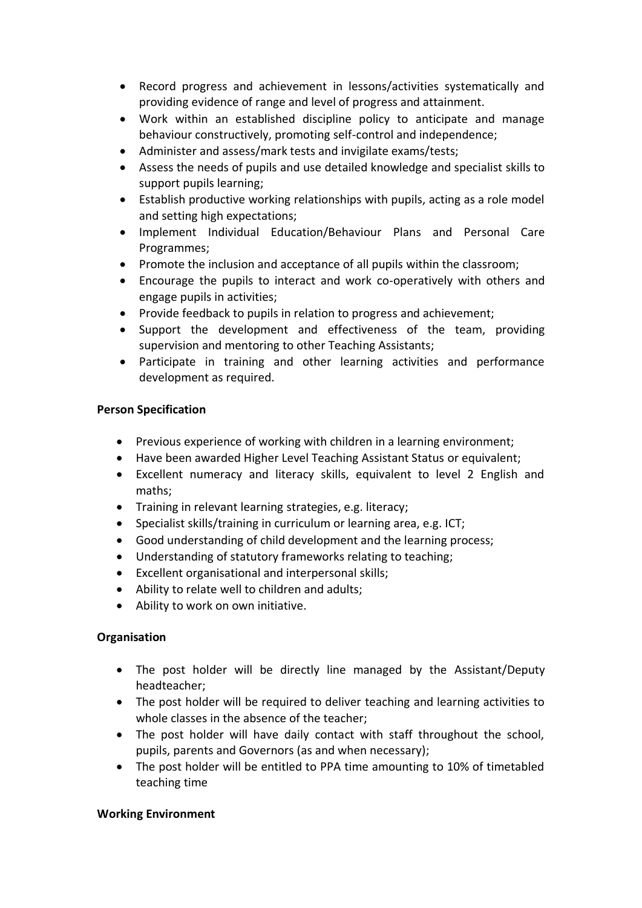- Record progress and achievement in lessons/activities systematically and providing evidence of range and level of progress and attainment.
- Work within an established discipline policy to anticipate and manage behaviour constructively, promoting self-control and independence;
- Administer and assess/mark tests and invigilate exams/tests;
- Assess the needs of pupils and use detailed knowledge and specialist skills to support pupils learning;
- Establish productive working relationships with pupils, acting as a role model and setting high expectations;
- Implement Individual Education/Behaviour Plans and Personal Care Programmes;
- Promote the inclusion and acceptance of all pupils within the classroom;
- Encourage the pupils to interact and work co-operatively with others and engage pupils in activities;
- Provide feedback to pupils in relation to progress and achievement;
- Support the development and effectiveness of the team, providing supervision and mentoring to other Teaching Assistants;
- Participate in training and other learning activities and performance development as required.

## **Person Specification**

- Previous experience of working with children in a learning environment;
- Have been awarded Higher Level Teaching Assistant Status or equivalent;
- Excellent numeracy and literacy skills, equivalent to level 2 English and maths;
- Training in relevant learning strategies, e.g. literacy;
- Specialist skills/training in curriculum or learning area, e.g. ICT;
- Good understanding of child development and the learning process;
- Understanding of statutory frameworks relating to teaching;
- Excellent organisational and interpersonal skills;
- Ability to relate well to children and adults;
- Ability to work on own initiative.

# **Organisation**

- The post holder will be directly line managed by the Assistant/Deputy headteacher;
- The post holder will be required to deliver teaching and learning activities to whole classes in the absence of the teacher;
- The post holder will have daily contact with staff throughout the school, pupils, parents and Governors (as and when necessary);
- The post holder will be entitled to PPA time amounting to 10% of timetabled teaching time

### **Working Environment**